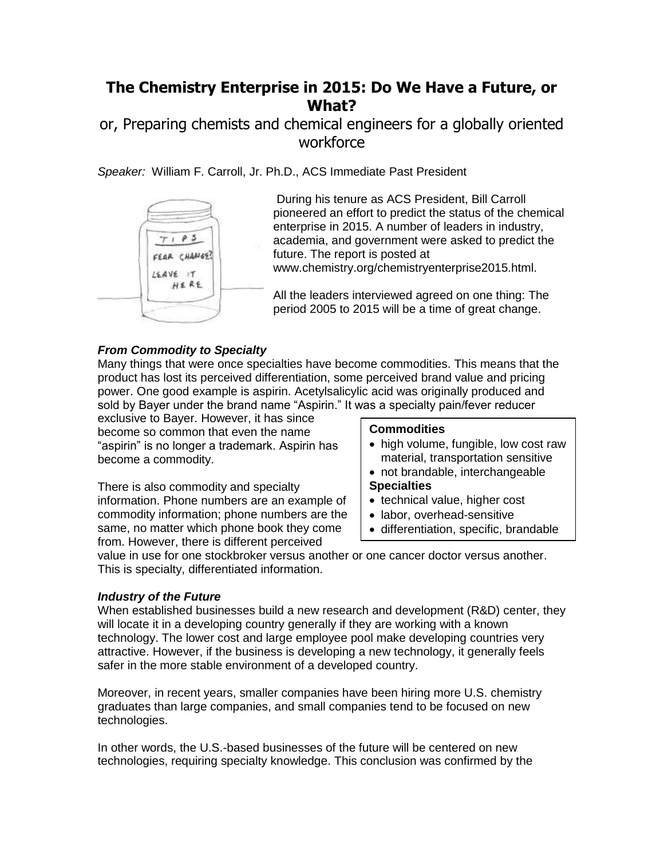# **The Chemistry Enterprise in 2015: Do We Have a Future, or What?**

## or, Preparing chemists and chemical engineers for a globally oriented workforce

*Speaker:* William F. Carroll, Jr. Ph.D., ACS Immediate Past President



During his tenure as ACS President, Bill Carroll pioneered an effort to predict the status of the chemical enterprise in 2015. A number of leaders in industry, academia, and government were asked to predict the future. The report is posted at www.chemistry.org/chemistryenterprise2015.html.

All the leaders interviewed agreed on one thing: The period 2005 to 2015 will be a time of great change.

## *From Commodity to Specialty*

Many things that were once specialties have become commodities. This means that the product has lost its perceived differentiation, some perceived brand value and pricing power. One good example is aspirin. Acetylsalicylic acid was originally produced and sold by Bayer under the brand name "Aspirin." It was a specialty pain/fever reducer

exclusive to Bayer. However, it has since become so common that even the name "aspirin" is no longer a trademark. Aspirin has become a commodity.

There is also commodity and specialty information. Phone numbers are an example of commodity information; phone numbers are the same, no matter which phone book they come from. However, there is different perceived

#### **Commodities**

- high volume, fungible, low cost raw material, transportation sensitive
- not brandable, interchangeable **Specialties**
- technical value, higher cost
- labor, overhead-sensitive
- differentiation, specific, brandable

value in use for one stockbroker versus another or one cancer doctor versus another. This is specialty, differentiated information.

### *Industry of the Future*

When established businesses build a new research and development (R&D) center, they will locate it in a developing country generally if they are working with a known technology. The lower cost and large employee pool make developing countries very attractive. However, if the business is developing a new technology, it generally feels safer in the more stable environment of a developed country.

Moreover, in recent years, smaller companies have been hiring more U.S. chemistry graduates than large companies, and small companies tend to be focused on new technologies.

In other words, the U.S.-based businesses of the future will be centered on new technologies, requiring specialty knowledge. This conclusion was confirmed by the